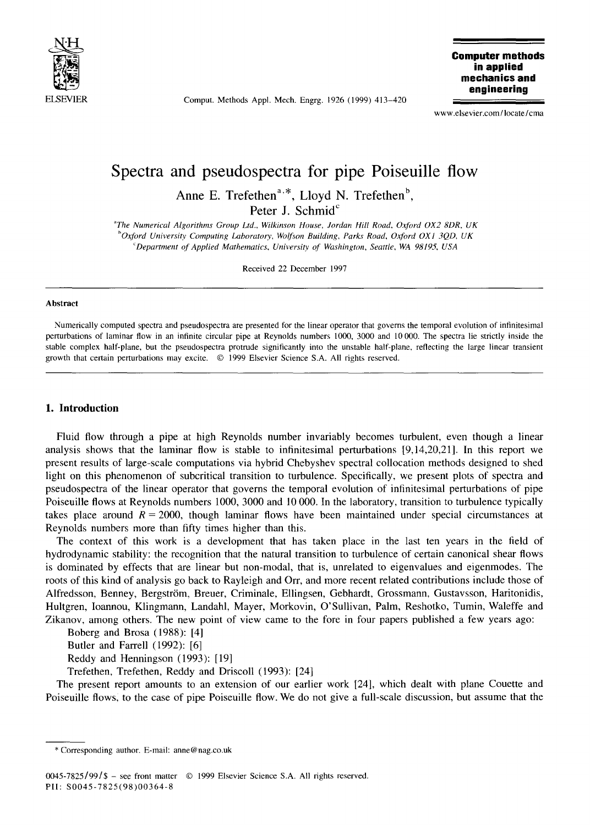

Comput. Methods Appl. Mech. Engrg. 1926 (1999) 413-420

**Computer methods in applied mechanics and engineering** 

www.elsevier.com/locate/cma

# **Spectra and pseudospectra for pipe Poiseuille flow**

Anne E. Trefethen<sup>a,\*</sup>, Lloyd N. Trefethen<sup>b</sup>, Peter J. Schmid<sup>c</sup>

*aThe Numerical Algorithms Group Ltd., Wilkinson House, Jordan Hill Road, Oxford OX2 8DR, UK*  <sup>b</sup>Oxford University Computing Laboratory, Wolfson Building, Parks Road, Oxford OX1 3QD, UK *CDepartment of Applied Mathematics, University of Washington, Seattle, WA 9819,5, USA* 

Received 22 December 1997

#### **Abstract**

Numerically computed spectra and pseudospectra are presented for the linear operator that governs the temporal evolution of infinitesimal perturbations of laminar flow in an infinite circular pipe at Reynolds numbers 1000, 3000 and 10 000. The spectra lie strictly inside the stable complex half-plane, but the pseudospectra protrude significantly into the unstable half-plane, reflecting the large linear transient growth that certain perturbations may excite. © 1999 Elsevier Science S.A. All rights reserved.

### **I. Introduction**

Fluid flow through a pipe at high Reynolds number invariably becomes turbulent, even though a linear analysis shows that the laminar flow is stable to infinitesimal perturbations [9,14,20,21]. In this report we present results of large-scale computations via hybrid Chebyshev spectral collocation methods designed to shed light on this phenomenon of subcritical transition to turbulence. Specifically, we present plots of spectra **and**  pseudospectra of the linear operator that governs the temporal evolution of infinitesimal perturbations of pipe Poiseuille flows at Reynolds numbers 1000, 3000 and 10 000. In the laboratory, transition to turbulence typically takes place around  $R = 2000$ , though laminar flows have been maintained under special circumstances at Reynolds numbers more than fifty times higher than this.

The context of this work is a development that has taken place in the last ten years in the field of hydrodynamic stability: the recognition that the natural transition to turbulence of certain canonical shear flows is dominated by effects that are linear but non-modal, that is, unrelated to eigenvalues and eigenmodes. The roots of this kind of analysis go back to Rayleigh and Orr, and more recent related contributions include those of Alfredsson, Benney, Bergström, Breuer, Criminale, Ellingsen, Gebhardt, Grossmann, Gustavsson, Haritonidis, Hultgren, Ioannou, Klingmann, Landahl, Mayer, Morkovin, O'Sullivan, Palm, Reshotko, Tumin, Waleffe **and**  Zikanov, among others. The new point of view came to the fore in four papers published a few years ago:

Boberg and Brosa (1988): [4]

Butler and Farrell (1992): [6]

Reddy and Henningson (1993): [19]

Trefethen, Trefethen, Reddy and Driscoll (1993): [24]

The present report amounts to an extension of our earlier work [24], which dealt with plane Couette and Poiseuille flows, to the case of pipe Poiseuille flow. We do not give a full-scale discussion, but assume that the

<sup>\*</sup> Corresponding author. E-mail: anne@nag.co.uk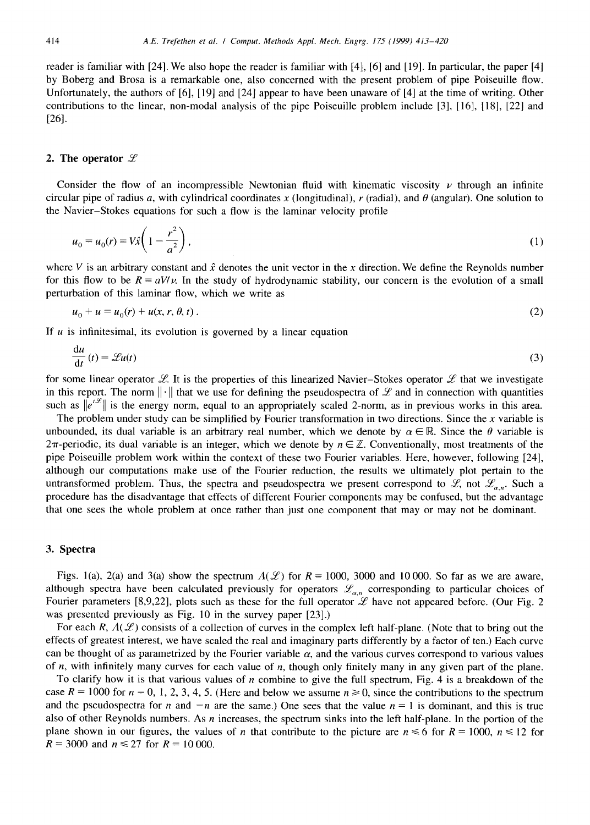reader is familiar with [24]. We also hope the reader is familiar with [4], [6] and [19]. In particular, the paper [4] by Boberg and Brosa is a remarkable one, also concerned with the present problem of pipe Poiseuille flow. Unfortunately, the authors of [6], [19] and [24] appear to have been unaware of [4] at the time of writing. Other contributions to the linear, non-modal analysis of the pipe Poiseuille problem include [3], [16], [18], [22] and [26].

# **2. The operator**

Consider the flow of an incompressible Newtonian fluid with kinematic viscosity  $\nu$  through an infinite circular pipe of radius a, with cylindrical coordinates x (longitudinal), r (radial), and  $\theta$  (angular). One solution to the Navier-Stokes equations for such a flow is the laminar velocity profile

$$
u_0 = u_0(r) = V\hat{x}\left(1 - \frac{r^2}{a^2}\right),
$$
\n(1)

where V is an arbitrary constant and  $\hat{x}$  denotes the unit vector in the x direction. We define the Reynolds number for this flow to be  $R = aV/v$ . In the study of hydrodynamic stability, our concern is the evolution of a small perturbation of this laminar flow, which we write as

$$
u_0 + u = u_0(r) + u(x, r, \theta, t)
$$
 (2)

If  $u$  is infinitesimal, its evolution is governed by a linear equation

$$
\frac{\mathrm{d}u}{\mathrm{d}t}(t) = \mathscr{L}u(t) \tag{3}
$$

for some linear operator L. It is the properties of this linearized Navier-Stokes operator L that we investigate in this report. The norm  $\|\cdot\|$  that we use for defining the pseudospectra of  $\mathscr L$  and in connection with quantities such as  $\|\mathbf{e}^{t\mathscr{L}}\|$  is the energy norm, equal to an appropriately scaled 2-norm, as in previous works in this area.

The problem under study can be simplified by Fourier transformation in two directions. Since the x variable is unbounded, its dual variable is an arbitrary real number, which we denote by  $\alpha \in \mathbb{R}$ . Since the  $\theta$  variable is  $2\pi$ -periodic, its dual variable is an integer, which we denote by  $n \in \mathbb{Z}$ . Conventionally, most treatments of the pipe Poiseuille problem work within the context of these two Fourier variables. Here, however, following [24], although our computations make use of the Fourier reduction, the results we ultimately plot pertain to the untransformed problem. Thus, the spectra and pseudospectra we present correspond to  $\mathscr{L}$ , not  $\mathscr{L}_{\alpha,n}$ . Such a procedure has the disadvantage that effects of different Fourier components may be confused, but the advantage that one sees the whole problem at once rather than just one component that may or may not be dominant.

## **3. Spectra**

Figs. 1(a), 2(a) and 3(a) show the spectrum  $A(\mathcal{L})$  for  $R = 1000$ , 3000 and 10000. So far as we are aware, although spectra have been calculated previously for operators  $\mathcal{L}_{\alpha,n}$  corresponding to particular choices of Fourier parameters [8,9,22], plots such as these for the full operator  $\mathscr L$  have not appeared before. (Our Fig. 2 was presented previously as Fig. 10 in the survey paper [23].)

For each R,  $\Lambda(\mathcal{L})$  consists of a collection of curves in the complex left half-plane. (Note that to bring out the effects of greatest interest, we have scaled the real and imaginary parts differently by a factor of ten.) Each curve can be thought of as parametrized by the Fourier variable  $\alpha$ , and the various curves correspond to various values of  $n$ , with infinitely many curves for each value of  $n$ , though only finitely many in any given part of the plane.

To clarify how it is that various values of n combine to give the full spectrum, Fig. 4 is a breakdown of the case  $R = 1000$  for  $n = 0, 1, 2, 3, 4, 5$ . (Here and below we assume  $n \ge 0$ , since the contributions to the spectrum and the pseudospectra for n and  $-n$  are the same.) One sees that the value  $n = 1$  is dominant, and this is true also of other Reynolds numbers. As  $n$  increases, the spectrum sinks into the left half-plane. In the portion of the plane shown in our figures, the values of *n* that contribute to the picture are  $n \le 6$  for  $R = 1000$ ,  $n \le 12$  for  $R = 3000$  and  $n \le 27$  for  $R = 10000$ .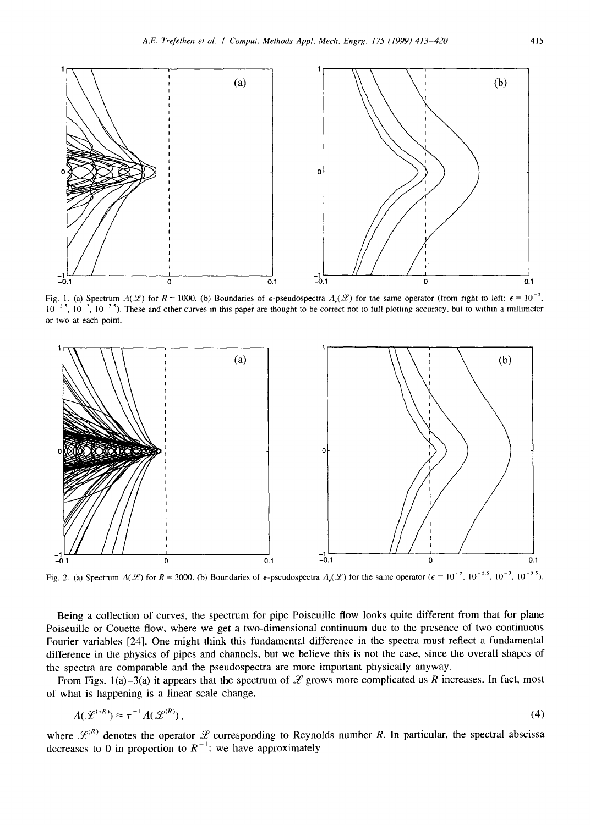

Fig. 1. (a) Spectrum  $A(F)$  for  $R = 1000$ . (b) Boundaries of  $\epsilon$ -pseudospectra  $A_{\epsilon}(F)$  for the same operator (from right to left:  $\epsilon = 10^{-2}$ ,  $10^{-2.5}$ ,  $10^{-3}$ ,  $10^{-3.5}$ ). These and other curves in this paper are thought to be correct not to full plotting accuracy, but to within a millimeter or two at each point.



Fig. 2. (a) Spectrum  $A(F)$  for  $R = 3000$ . (b) Boundaries of  $\epsilon$ -pseudospectra  $A_{\epsilon}(F)$  for the same operator ( $\epsilon = 10^{-2}$ ,  $10^{-2.5}$ ,  $10^{-3}$ ,  $10^{-3.5}$ ).

Being a collection of curves, the spectrum for pipe Poiseuille flow looks quite different from that for plane Poiseuille or Couette flow, where we get a two-dimensional continuum due to the presence of two continuous Fourier variables [24]. One might think this fundamental difference in the spectra must reflect a fundamental difference in the physics of pipes and channels, but we believe this is not the case, since the overall shapes of the spectra are comparable and the pseudospectra are more important physically anyway.

From Figs. 1(a)-3(a) it appears that the spectrum of  $\mathcal L$  grows more complicated as R increases. In fact, most of what is happening is a linear scale change,

$$
\Lambda(\mathcal{L}^{(\tau R)}) \approx \tau^{-1} \Lambda(\mathcal{L}^{(R)}),\tag{4}
$$

where  $\mathcal{L}^{(R)}$  denotes the operator  $\mathcal L$  corresponding to Reynolds number R. In particular, the spectral abscissa decreases to 0 in proportion to  $R^{-1}$ : we have approximately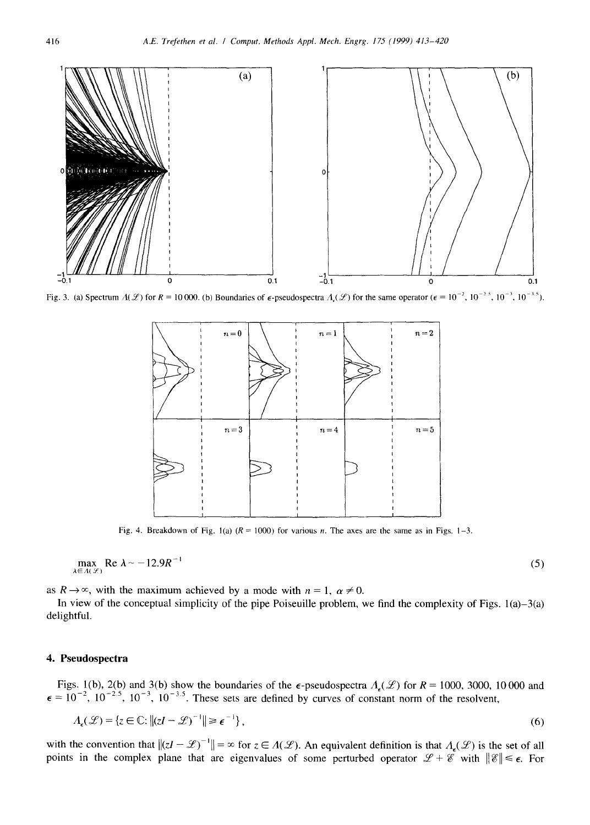

Fig. 3. (a) Spectrum  $A(\mathcal{L})$  for  $R = 10000$ . (b) Boundaries of  $\epsilon$ -pseudospectra  $A_{\epsilon}(\mathcal{L})$  for the same operator ( $\epsilon = 10^{-2}$ ,  $10^{-2}$ ,  $10^{-3}$ ,  $10^{-3}$ ,  $10^{-3}$ ,  $10^{-3}$ ,  $10^{-3}$ ,  $10^{-3}$ ,  $10^{-3}$ ,  $10^{-3}$ ,  $10^{-3}$ 



Fig. 4. Breakdown of Fig. 1(a)  $(R = 1000)$  for various *n*. The axes are the same as in Figs. 1–3.

$$
\max_{\lambda \in A(\mathscr{L})} \text{Re } \lambda \sim -12.9R^{-1} \tag{5}
$$

as  $R \rightarrow \infty$ , with the maximum achieved by a mode with  $n = 1$ ,  $\alpha \neq 0$ .

In view of the conceptual simplicity of the pipe Poiseuille problem, we find the complexity of Figs.  $1(a)-3(a)$ delightful.

# **4. Pseudospectra**

Figs. 1(b), 2(b) and 3(b) show the boundaries of the  $\epsilon$ -pseudospectra  $A_{\epsilon}(\mathscr{L})$  for  $R = 1000$ , 3000, 10 000 and  $\epsilon = 10^{-2}$ ,  $10^{-25}$ ,  $10^{-3}$ ,  $10^{-35}$ . These sets are defined by curves of constant norm of the resolvent,

$$
\Lambda_{\epsilon}(\mathcal{L}) = \{ z \in \mathbb{C} : ||(zI - \mathcal{L})^{-1}|| \ge \epsilon^{-1} \},\tag{6}
$$

with the convention that  $\|(zI - \mathcal{L})^{-1}\| = \infty$  for  $z \in A(\mathcal{L})$ . An equivalent definition is that  $A_{\epsilon}(\mathcal{L})$  is the set of all points in the complex plane that are eigenvalues of some perturbed operator  $\mathscr{L} + \mathscr{E}$  with  $\|\mathscr{E}\| \leq \epsilon$ . For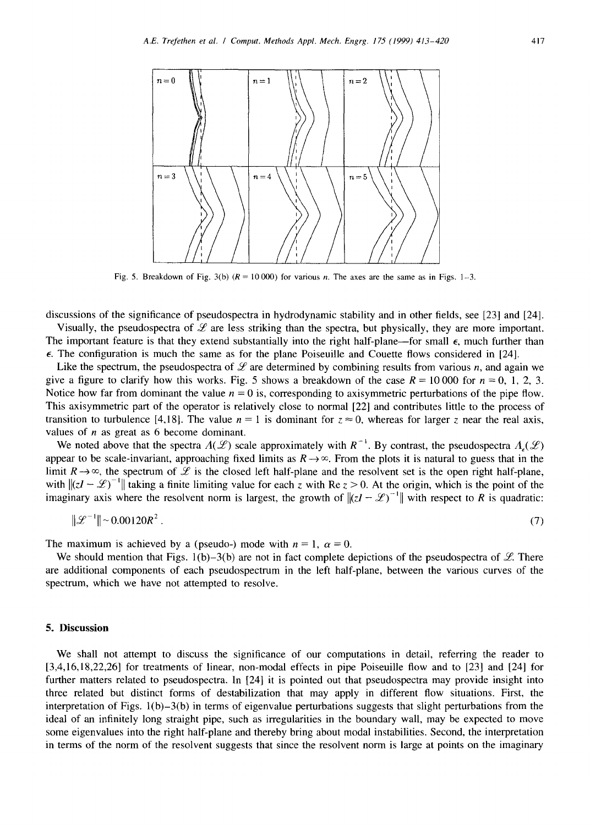

Fig. 5. Breakdown of Fig. 3(b)  $(R = 10000)$  for various n. The axes are the same as in Figs. 1-3.

discussions of the significance of pseudospectra in hydrodynamic stability and in other fields, see [23] and [24].

Visually, the pseudospectra of  $\mathscr L$  are less striking than the spectra, but physically, they are more important. The important feature is that they extend substantially into the right half-plane—for small  $\epsilon$ , much further than  $\epsilon$ . The configuration is much the same as for the plane Poiseuille and Couette flows considered in [24].

Like the spectrum, the pseudospectra of  $\mathscr L$  are determined by combining results from various n, and again we give a figure to clarify how this works. Fig. 5 shows a breakdown of the case  $R = 10000$  for  $n = 0, 1, 2, 3$ . Notice how far from dominant the value  $n = 0$  is, corresponding to axisymmetric perturbations of the pipe flow. This axisymmetric part of the operator is relatively close to normal [22] and contributes little to the process of transition to turbulence [4,18]. The value  $n = 1$  is dominant for  $z \approx 0$ , whereas for larger z near the real axis, values of  $n$  as great as 6 become dominant.

We noted above that the spectra  $A(F)$  scale approximately with  $R^{-1}$ . By contrast, the pseudospectra  $A_r(F)$ appear to be scale-invariant, approaching fixed limits as  $R\rightarrow\infty$ . From the plots it is natural to guess that in the limit  $R\rightarrow\infty$ , the spectrum of  $\mathscr L$  is the closed left half-plane and the resolvent set is the open right half-plane, with  $\left||zI - \mathcal{L}\right|^{-1}$  taking a finite limiting value for each z with Re  $z > 0$ . At the origin, which is the point of the imaginary axis where the resolvent norm is largest, the growth of  $\|(zI - \mathcal{L})^{-1}\|$  with respect to R is quadratic:

$$
\|\mathcal{L}^{-1}\| \sim 0.00120 R^2 \,. \tag{7}
$$

The maximum is achieved by a (pseudo-) mode with  $n = 1$ ,  $\alpha = 0$ .

We should mention that Figs. 1(b)-3(b) are not in fact complete depictions of the pseudospectra of  $\mathscr{L}$ . There are additional components of each pseudospectrum in the left half-plane, between the various curves of the spectrum, which we have not attempted to resolve.

## **5. Discussion**

We shall not attempt to discuss the significance of our computations in detail, referring the reader to [3,4,16,18,22,26] for treatments of linear, non-modal effects in pipe Poiseuille flow and to [23] and [24] for further matters related to pseudospectra. In [24] it is pointed out that pseudospectra may provide insight into three related but distinct forms of destabilization that may apply in different flow situations. First, the interpretation of Figs.  $1(b)-3(b)$  in terms of eigenvalue perturbations suggests that slight perturbations from the ideal of an infinitely long straight pipe, such as irregularities in the boundary wall, may be expected to move some eigenvalues into the right half-plane and thereby bring about modal instabilities. Second, the interpretation in terms of the norm of the resolvent suggests that since the resolvent norm is large at points on the imaginary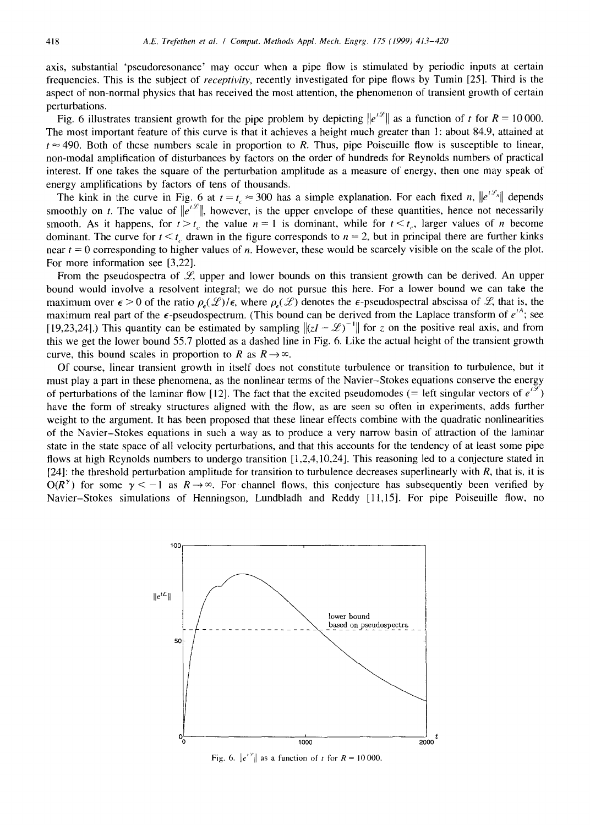axis, substantial 'pseudoresonance' may occur when a pipe flow is stimulated by periodic inputs at certain frequencies. This is the subject of *receptivity,* recently investigated for pipe flows by Tumin [25]. Third is the aspect of non-normal physics that has received the most attention, the phenomenon of transient growth of certain perturbations.

Fig. 6 illustrates transient growth for the pipe problem by depicting  $||e^{ix}||$  as a function of t for  $R = 10000$ . The most important feature of this curve is that it achieves a height much greater than 1 : about 84.9, attained at  $t \approx 490$ . Both of these numbers scale in proportion to R. Thus, pipe Poiseuille flow is susceptible to linear, non-modal amplification of disturbances by factors on the order of hundreds for Reynolds numbers of practical interest. If one takes the square of the perturbation amplitude as a measure of energy, then one may speak of energy amplifications by factors of tens of thousands.

The kink in the curve in Fig. 6 at  $t = t_c \approx 300$  has a simple explanation. For each fixed n,  $||e^{t\mathscr{L}_n}||$  depends smoothly on t. The value of  $||e^{ix}||$ , however, is the upper envelope of these quantities, hence not necessarily smooth. As it happens, for  $t > t<sub>c</sub>$ , the value  $n = 1$  is dominant, while for  $t < t<sub>c</sub>$ , larger values of n become dominant. The curve for  $t \leq t_c$  drawn in the figure corresponds to  $n = 2$ , but in principal there are further kinks near  $t = 0$  corresponding to higher values of *n*. However, these would be scarcely visible on the scale of the plot. For more information see [3,22].

From the pseudospectra of  $\mathcal{L}$ , upper and lower bounds on this transient growth can be derived. An upper bound would involve a resolvent integral; we do not pursue this here. For a lower bound we can take the maximum over  $\epsilon > 0$  of the ratio  $\rho_{\epsilon}(\mathcal{L})/\epsilon$ , where  $\rho_{\epsilon}(\mathcal{L})$  denotes the  $\epsilon$ -pseudospectral abscissa of  $\mathcal{L}$ , that is, the maximum real part of the  $\epsilon$ -pseudospectrum. (This bound can be derived from the Laplace transform of  $e^{tA}$ ; see [19,23,24].) This quantity can be estimated by sampling  $\left| \left( z \right) - \mathcal{L} \right|^{-1}$  for z on the positive real axis, and from this we get the lower bound 55.7 plotted as a dashed line in Fig. 6. Like the actual height of the transient growth curve, this bound scales in proportion to R as  $R \rightarrow \infty$ .

Of course, linear transient growth in itself does not constitute turbulence or transition to turbulence, but it must play a part in these phenomena, as the nonlinear terms of the Navier-Stokes equations conserve the energy of perturbations of the laminar flow [12]. The fact that the excited pseudomodes (= left singular vectors of  $e^{i\varphi}$ ) have the form of streaky structures aligned with the flow, as are seen so often in experiments, adds further weight to the argument. It has been proposed that these linear effects combine with the quadratic nonlinearities of the Navier-Stokes equations in such a way as to produce a very narrow basin of attraction of the laminar state in the state space of all velocity perturbations, and that this accounts for the tendency of at least some pipe flows at high Reynolds numbers to undergo transition [1,2,4,10,24]. This reasoning led to a conjecture stated in [24]: the threshold perturbation amplitude for transition to turbulence decreases superlinearly with  $R$ , that is, it is  $O(R^{\gamma})$  for some  $\gamma < -1$  as  $R \rightarrow \infty$ . For channel flows, this conjecture has subsequently been verified by Navier-Stokes simulations of Henningson, Lundbladh and Reddy [11,15]. For pipe Poiseuille flow, no



Fig. 6.  $||e^{i\vartheta}||$  as a function of t for  $R = 10000$ .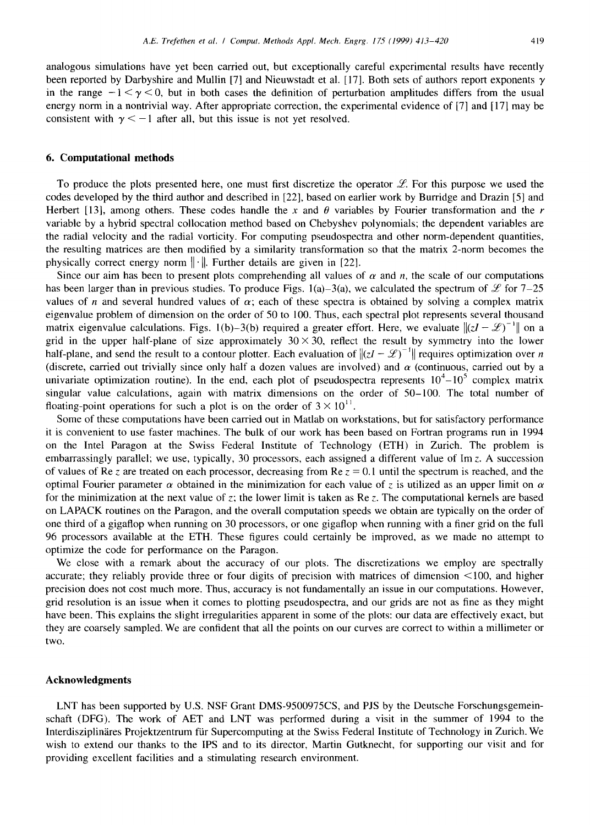analogous simulations have yet been carried out, but exceptionally careful experimental results have recently been reported by Darbyshire and Mullin [7] and Nieuwstadt et al. [17]. Both sets of authors report exponents y in the range  $-1 < y < 0$ , but in both cases the definition of perturbation amplitudes differs from the usual energy norm in a nontrivial way. After appropriate correction, the experimental evidence of [7] and [17] may be consistent with  $\gamma < -1$  after all, but this issue is not yet resolved.

### **6. Computational methods**

To produce the plots presented here, one must first discretize the operator  $\mathscr L$ . For this purpose we used the codes developed by the third author and described in [22], based on earlier work by Burridge and Drazin [5] and Herbert [13], among others. These codes handle the x and  $\theta$  variables by Fourier transformation and the r variable by a hybrid spectral collocation method based on Chebyshev polynomials; the dependent variables are the radial velocity and the radial vorticity. For computing pseudospectra and other norm-dependent quantities, the resulting matrices are then modified by a similarity transformation so that the matrix 2-norm becomes the physically correct energy norm  $\|\cdot\|$ . Further details are given in [22].

Since our aim has been to present plots comprehending all values of  $\alpha$  and n, the scale of our computations has been larger than in previous studies. To produce Figs. 1(a)-3(a), we calculated the spectrum of  $\mathscr L$  for 7–25 values of n and several hundred values of  $\alpha$ ; each of these spectra is obtained by solving a complex matrix eigenvalue problem of dimension on the order of 50 to 100. Thus, each spectral plot represents several thousand matrix eigenvalue calculations. Figs. 1(b)-3(b) required a greater effort. Here, we evaluate  $\|(zI-{\mathcal{L}})^{-1}\|$  on a grid in the upper half-plane of size approximately  $30 \times 30$ , reflect the result by symmetry into the lower half-plane, and send the result to a contour plotter. Each evaluation of  $\|(zI - \mathcal{L})^{-1}\|$  requires optimization over n (discrete, carried out trivially since only half a dozen values are involved) and  $\alpha$  (continuous, carried out by a univariate optimization routine). In the end, each plot of pseudospectra represents  $10^4 - 10^5$  complex matrix singular value calculations, again with matrix dimensions on the order of 50-100. The total number of floating-point operations for such a plot is on the order of  $3 \times 10^{11}$ .

Some of these computations have been carried out in Matlab on workstations, but for satisfactory performance it is convenient to use faster machines. The bulk of our work has been based on Fortran programs run in 1994 on the Intel Paragon at the Swiss Federal Institute of Technology (ETH) in Zurich. The problem is embarrassingly parallel; we use, typically, 30 processors, each assigned a different value of Im z. A succession of values of Re z are treated on each processor, decreasing from Re  $z = 0.1$  until the spectrum is reached, and the optimal Fourier parameter  $\alpha$  obtained in the minimization for each value of z is utilized as an upper limit on  $\alpha$ for the minimization at the next value of z; the lower limit is taken as Re z. The computational kernels are based on LAPACK routines on the Paragon, and the overall computation speeds we obtain are typically on the order of one third of a gigaflop when running on 30 processors, or one gigaflop when running with a finer grid on the full 96 processors available at the ETH. These figures could certainly be improved, as we made no attempt to optimize the code for performance on the Paragon.

We close with a remark about the accuracy of our plots. The discretizations we employ are spectrally accurate; they reliably provide three or four digits of precision with matrices of dimension <100, and higher precision does not cost much more. Thus, accuracy is not fundamentally an issue in our computations. However, grid resolution is an issue when it comes to plotting pseudospectra, and our grids are not as fine as they might have been. This explains the slight irregularities apparent in some of the plots: our data are effectively exact, but they are coarsely sampled. We are confident that all the points on our curves are correct to within a millimeter or two.

# **Acknowledgments**

LNT has been supported by U.S. NSF Grant DMS-9500975CS, and PJS by the Deutsche Forschungsgemeinschaft (DFG). The work of AET and LNT was performed during a visit in the summer of 1994 to the Interdisziplinäres Projektzentrum für Supercomputing at the Swiss Federal Institute of Technology in Zurich. We wish to extend our thanks to the IPS and to its director, Martin Gutknecht, for supporting our visit and for providing excellent facilities and a stimulating research environment.